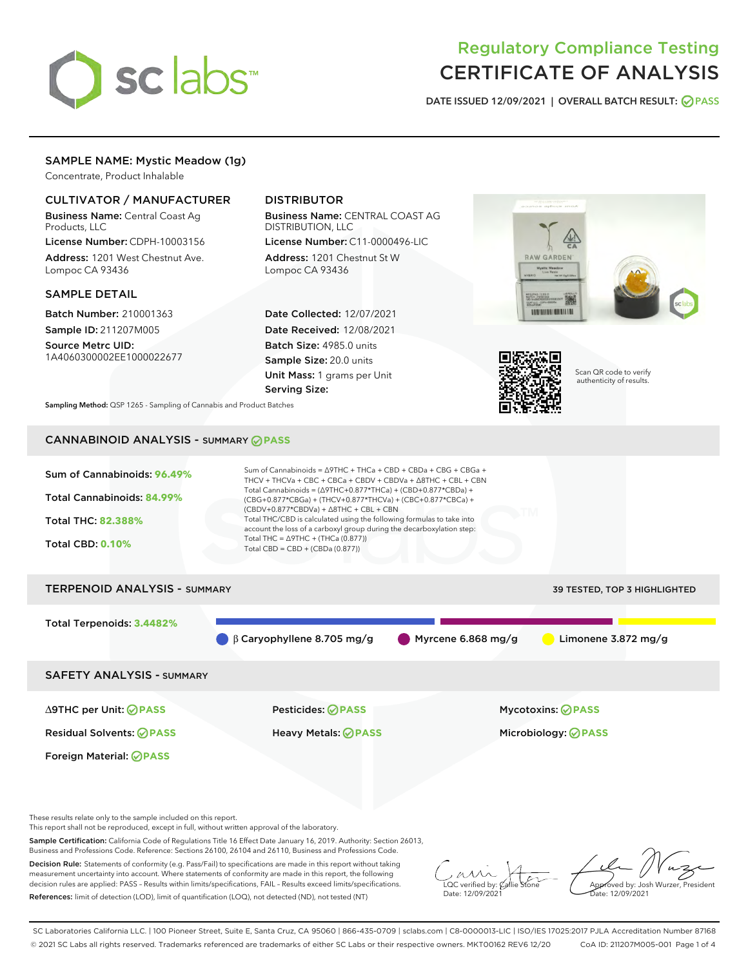

# Regulatory Compliance Testing CERTIFICATE OF ANALYSIS

DATE ISSUED 12/09/2021 | OVERALL BATCH RESULT: @ PASS

# SAMPLE NAME: Mystic Meadow (1g)

Concentrate, Product Inhalable

# CULTIVATOR / MANUFACTURER

Business Name: Central Coast Ag Products, LLC

License Number: CDPH-10003156 Address: 1201 West Chestnut Ave. Lompoc CA 93436

### SAMPLE DETAIL

Batch Number: 210001363 Sample ID: 211207M005

Source Metrc UID: 1A4060300002EE1000022677

# DISTRIBUTOR

Business Name: CENTRAL COAST AG DISTRIBUTION, LLC License Number: C11-0000496-LIC

Address: 1201 Chestnut St W Lompoc CA 93436

Date Collected: 12/07/2021 Date Received: 12/08/2021 Batch Size: 4985.0 units Sample Size: 20.0 units Unit Mass: 1 grams per Unit Serving Size:





Scan QR code to verify authenticity of results.

Sampling Method: QSP 1265 - Sampling of Cannabis and Product Batches

# CANNABINOID ANALYSIS - SUMMARY **PASS**



These results relate only to the sample included on this report.

This report shall not be reproduced, except in full, without written approval of the laboratory.

Sample Certification: California Code of Regulations Title 16 Effect Date January 16, 2019. Authority: Section 26013, Business and Professions Code. Reference: Sections 26100, 26104 and 26110, Business and Professions Code.

Decision Rule: Statements of conformity (e.g. Pass/Fail) to specifications are made in this report without taking measurement uncertainty into account. Where statements of conformity are made in this report, the following decision rules are applied: PASS – Results within limits/specifications, FAIL – Results exceed limits/specifications. References: limit of detection (LOD), limit of quantification (LOQ), not detected (ND), not tested (NT)

 $\overline{\text{C}}$  verified by:  $\mathcal C$ Date: 12/09/2021

Aved by: Josh Wurzer, President ate: 12/09/2021

SC Laboratories California LLC. | 100 Pioneer Street, Suite E, Santa Cruz, CA 95060 | 866-435-0709 | sclabs.com | C8-0000013-LIC | ISO/IES 17025:2017 PJLA Accreditation Number 87168 © 2021 SC Labs all rights reserved. Trademarks referenced are trademarks of either SC Labs or their respective owners. MKT00162 REV6 12/20 CoA ID: 211207M005-001 Page 1 of 4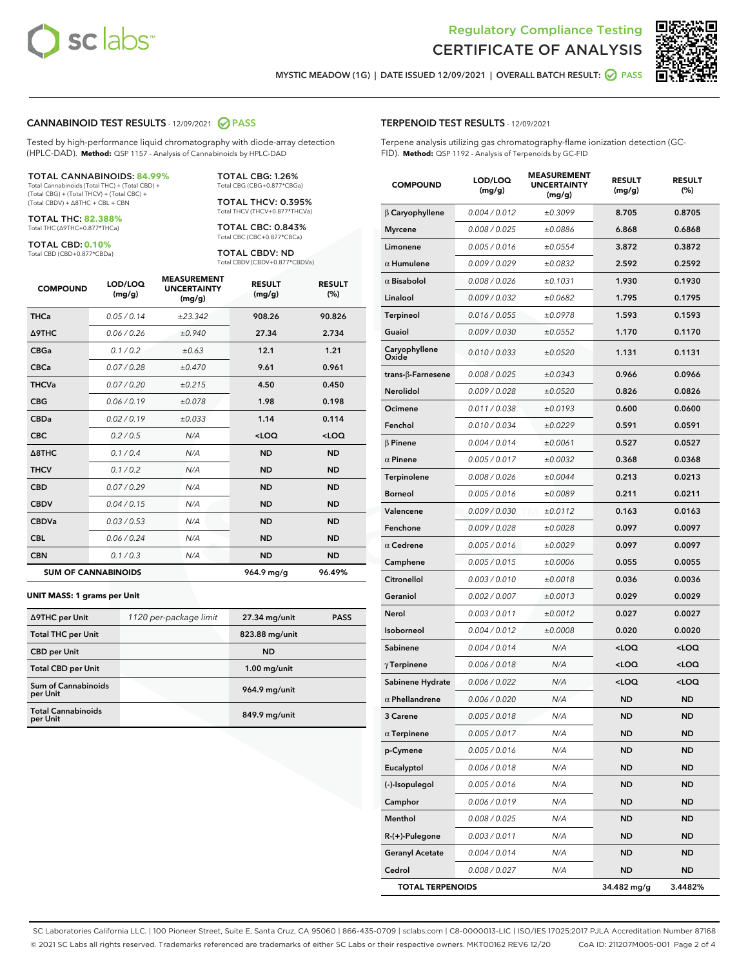



MYSTIC MEADOW (1G) | DATE ISSUED 12/09/2021 | OVERALL BATCH RESULT: **● PASS** 

### CANNABINOID TEST RESULTS - 12/09/2021 2 PASS

Tested by high-performance liquid chromatography with diode-array detection (HPLC-DAD). **Method:** QSP 1157 - Analysis of Cannabinoids by HPLC-DAD

#### TOTAL CANNABINOIDS: **84.99%**

Total Cannabinoids (Total THC) + (Total CBD) + (Total CBG) + (Total THCV) + (Total CBC) + (Total CBDV) + ∆8THC + CBL + CBN

TOTAL THC: **82.388%** Total THC (∆9THC+0.877\*THCa)

TOTAL CBD: **0.10%**

Total CBD (CBD+0.877\*CBDa)

TOTAL CBG: 1.26% Total CBG (CBG+0.877\*CBGa)

TOTAL THCV: 0.395% Total THCV (THCV+0.877\*THCVa)

TOTAL CBC: 0.843% Total CBC (CBC+0.877\*CBCa)

TOTAL CBDV: ND Total CBDV (CBDV+0.877\*CBDVa)

| <b>COMPOUND</b>            | LOD/LOQ<br>(mg/g) | <b>MEASUREMENT</b><br><b>UNCERTAINTY</b><br>(mg/g) | <b>RESULT</b><br>(mg/g) | <b>RESULT</b><br>(%) |
|----------------------------|-------------------|----------------------------------------------------|-------------------------|----------------------|
| <b>THCa</b>                | 0.05/0.14         | ±23.342                                            | 908.26                  | 90.826               |
| <b>A9THC</b>               | 0.06 / 0.26       | ±0.940                                             | 27.34                   | 2.734                |
| <b>CBGa</b>                | 0.1/0.2           | ±0.63                                              | 12.1                    | 1.21                 |
| <b>CBCa</b>                | 0.07/0.28         | ±0.470                                             | 9.61                    | 0.961                |
| <b>THCVa</b>               | 0.07/0.20         | ±0.215                                             | 4.50                    | 0.450                |
| <b>CBG</b>                 | 0.06/0.19         | ±0.078                                             | 1.98                    | 0.198                |
| <b>CBDa</b>                | 0.02/0.19         | ±0.033                                             | 1.14                    | 0.114                |
| <b>CBC</b>                 | 0.2 / 0.5         | N/A                                                | $<$ LOQ                 | <loq< th=""></loq<>  |
| $\triangle$ 8THC           | 0.1 / 0.4         | N/A                                                | <b>ND</b>               | <b>ND</b>            |
| <b>THCV</b>                | 0.1/0.2           | N/A                                                | <b>ND</b>               | <b>ND</b>            |
| <b>CBD</b>                 | 0.07/0.29         | N/A                                                | <b>ND</b>               | <b>ND</b>            |
| <b>CBDV</b>                | 0.04 / 0.15       | N/A                                                | <b>ND</b>               | <b>ND</b>            |
| <b>CBDVa</b>               | 0.03/0.53         | N/A                                                | <b>ND</b>               | <b>ND</b>            |
| <b>CBL</b>                 | 0.06 / 0.24       | N/A                                                | <b>ND</b>               | <b>ND</b>            |
| <b>CBN</b>                 | 0.1/0.3           | N/A                                                | <b>ND</b>               | <b>ND</b>            |
| <b>SUM OF CANNABINOIDS</b> |                   |                                                    | 964.9 mg/g              | 96.49%               |

#### **UNIT MASS: 1 grams per Unit**

| ∆9THC per Unit                        | 1120 per-package limit | 27.34 mg/unit  | <b>PASS</b> |
|---------------------------------------|------------------------|----------------|-------------|
| <b>Total THC per Unit</b>             |                        | 823.88 mg/unit |             |
| <b>CBD per Unit</b>                   |                        | <b>ND</b>      |             |
| <b>Total CBD per Unit</b>             |                        | $1.00$ mg/unit |             |
| Sum of Cannabinoids<br>per Unit       |                        | 964.9 mg/unit  |             |
| <b>Total Cannabinoids</b><br>per Unit |                        | 849.9 mg/unit  |             |

### TERPENOID TEST RESULTS - 12/09/2021

Terpene analysis utilizing gas chromatography-flame ionization detection (GC-FID). **Method:** QSP 1192 - Analysis of Terpenoids by GC-FID

| <b>COMPOUND</b>         | LOD/LOQ<br>(mg/g) | <b>MEASUREMENT</b><br><b>UNCERTAINTY</b><br>(mg/g) | <b>RESULT</b><br>(mg/g)                         | <b>RESULT</b><br>(%) |
|-------------------------|-------------------|----------------------------------------------------|-------------------------------------------------|----------------------|
| β Caryophyllene         | 0.004 / 0.012     | ±0.3099                                            | 8.705                                           | 0.8705               |
| <b>Myrcene</b>          | 0.008 / 0.025     | ±0.0886                                            | 6.868                                           | 0.6868               |
| Limonene                | 0.005 / 0.016     | ±0.0554                                            | 3.872                                           | 0.3872               |
| $\alpha$ Humulene       | 0.009 / 0.029     | ±0.0832                                            | 2.592                                           | 0.2592               |
| $\alpha$ Bisabolol      | 0.008 / 0.026     | ±0.1031                                            | 1.930                                           | 0.1930               |
| Linalool                | 0.009 / 0.032     | ±0.0682                                            | 1.795                                           | 0.1795               |
| Terpineol               | 0.016 / 0.055     | ±0.0978                                            | 1.593                                           | 0.1593               |
| Guaiol                  | 0.009 / 0.030     | ±0.0552                                            | 1.170                                           | 0.1170               |
| Caryophyllene<br>Oxide  | 0.010 / 0.033     | ±0.0520                                            | 1.131                                           | 0.1131               |
| trans-β-Farnesene       | 0.008 / 0.025     | ±0.0343                                            | 0.966                                           | 0.0966               |
| Nerolidol               | 0.009 / 0.028     | ±0.0520                                            | 0.826                                           | 0.0826               |
| Ocimene                 | 0.011 / 0.038     | ±0.0193                                            | 0.600                                           | 0.0600               |
| Fenchol                 | 0.010 / 0.034     | ±0.0229                                            | 0.591                                           | 0.0591               |
| <b>B</b> Pinene         | 0.004 / 0.014     | ±0.0061                                            | 0.527                                           | 0.0527               |
| $\alpha$ Pinene         | 0.005 / 0.017     | ±0.0032                                            | 0.368                                           | 0.0368               |
| Terpinolene             | 0.008 / 0.026     | ±0.0044                                            | 0.213                                           | 0.0213               |
| <b>Borneol</b>          | 0.005 / 0.016     | ±0.0089                                            | 0.211                                           | 0.0211               |
| Valencene               | 0.009 / 0.030     | ±0.0112                                            | 0.163                                           | 0.0163               |
| Fenchone                | 0.009 / 0.028     | ±0.0028                                            | 0.097                                           | 0.0097               |
| $\alpha$ Cedrene        | 0.005 / 0.016     | ±0.0029                                            | 0.097                                           | 0.0097               |
| Camphene                | 0.005 / 0.015     | ±0.0006                                            | 0.055                                           | 0.0055               |
| Citronellol             | 0.003 / 0.010     | ±0.0018                                            | 0.036                                           | 0.0036               |
| Geraniol                | 0.002 / 0.007     | ±0.0013                                            | 0.029                                           | 0.0029               |
| Nerol                   | 0.003 / 0.011     | ±0.0012                                            | 0.027                                           | 0.0027               |
| Isoborneol              | 0.004 / 0.012     | ±0.0008                                            | 0.020                                           | 0.0020               |
| Sabinene                | 0.004 / 0.014     | N/A                                                | <loq< th=""><th><loq< th=""></loq<></th></loq<> | <loq< th=""></loq<>  |
| $\gamma$ Terpinene      | 0.006 / 0.018     | N/A                                                | <loq< th=""><th><loq< th=""></loq<></th></loq<> | <loq< th=""></loq<>  |
| Sabinene Hydrate        | 0.006 / 0.022     | N/A                                                | <loq< th=""><th><loq< th=""></loq<></th></loq<> | <loq< th=""></loq<>  |
| $\alpha$ Phellandrene   | 0.006 / 0.020     | N/A                                                | ND                                              | <b>ND</b>            |
| <b>3 Carene</b>         | 0.005 / 0.018     | N/A                                                | <b>ND</b>                                       | <b>ND</b>            |
| $\alpha$ Terpinene      | 0.005 / 0.017     | N/A                                                | ND                                              | ND                   |
| p-Cymene                | 0.005 / 0.016     | N/A                                                | ND                                              | ND                   |
| Eucalyptol              | 0.006 / 0.018     | N/A                                                | ND                                              | <b>ND</b>            |
| (-)-Isopulegol          | 0.005 / 0.016     | N/A                                                | ND                                              | <b>ND</b>            |
| Camphor                 | 0.006 / 0.019     | N/A                                                | ND                                              | ND                   |
| Menthol                 | 0.008 / 0.025     | N/A                                                | ND                                              | ND                   |
| R-(+)-Pulegone          | 0.003 / 0.011     | N/A                                                | ND                                              | <b>ND</b>            |
| <b>Geranyl Acetate</b>  | 0.004 / 0.014     | N/A                                                | ND                                              | ND                   |
| Cedrol                  | 0.008 / 0.027     | N/A                                                | ND                                              | ND                   |
| <b>TOTAL TERPENOIDS</b> |                   |                                                    | 34.482 mg/g                                     | 3.4482%              |

SC Laboratories California LLC. | 100 Pioneer Street, Suite E, Santa Cruz, CA 95060 | 866-435-0709 | sclabs.com | C8-0000013-LIC | ISO/IES 17025:2017 PJLA Accreditation Number 87168 © 2021 SC Labs all rights reserved. Trademarks referenced are trademarks of either SC Labs or their respective owners. MKT00162 REV6 12/20 CoA ID: 211207M005-001 Page 2 of 4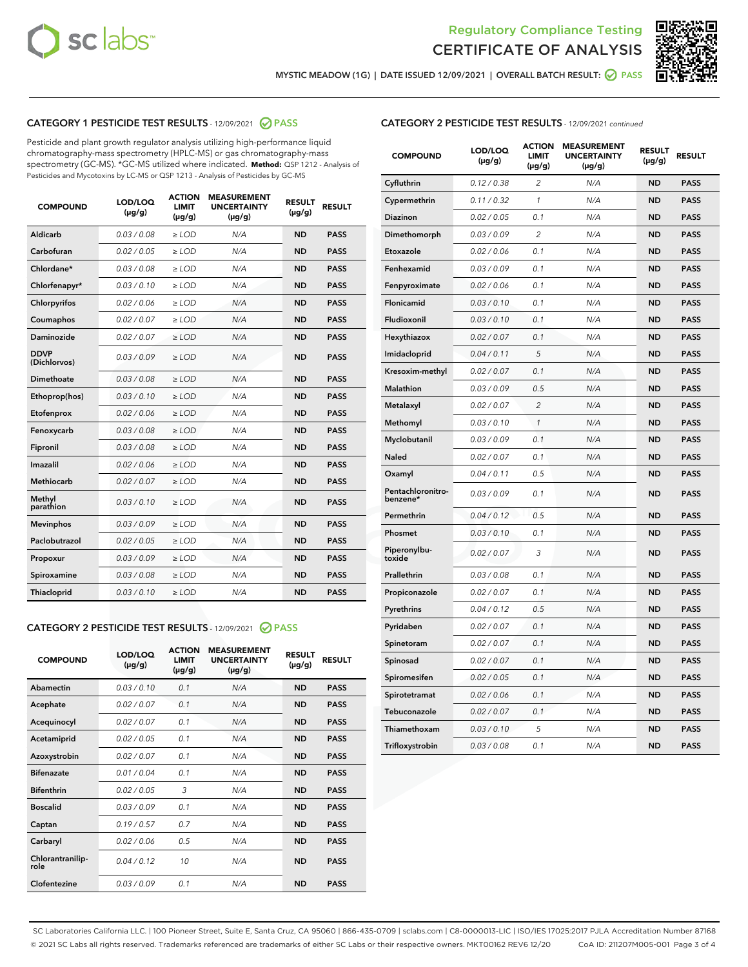



MYSTIC MEADOW (1G) | DATE ISSUED 12/09/2021 | OVERALL BATCH RESULT:  $\bigcirc$  PASS

# CATEGORY 1 PESTICIDE TEST RESULTS - 12/09/2021 2 PASS

Pesticide and plant growth regulator analysis utilizing high-performance liquid chromatography-mass spectrometry (HPLC-MS) or gas chromatography-mass spectrometry (GC-MS). \*GC-MS utilized where indicated. **Method:** QSP 1212 - Analysis of Pesticides and Mycotoxins by LC-MS or QSP 1213 - Analysis of Pesticides by GC-MS

| <b>COMPOUND</b>             | LOD/LOQ<br>$(\mu g/g)$ | <b>ACTION</b><br><b>LIMIT</b><br>$(\mu g/g)$ | <b>MEASUREMENT</b><br><b>UNCERTAINTY</b><br>$(\mu g/g)$ | <b>RESULT</b><br>$(\mu g/g)$ | <b>RESULT</b> |
|-----------------------------|------------------------|----------------------------------------------|---------------------------------------------------------|------------------------------|---------------|
| Aldicarb                    | 0.03 / 0.08            | $\geq$ LOD                                   | N/A                                                     | <b>ND</b>                    | <b>PASS</b>   |
| Carbofuran                  | 0.02/0.05              | $\geq$ LOD                                   | N/A                                                     | <b>ND</b>                    | <b>PASS</b>   |
| Chlordane*                  | 0.03 / 0.08            | $\ge$ LOD                                    | N/A                                                     | <b>ND</b>                    | <b>PASS</b>   |
| Chlorfenapyr*               | 0.03/0.10              | $\ge$ LOD                                    | N/A                                                     | <b>ND</b>                    | <b>PASS</b>   |
| Chlorpyrifos                | 0.02 / 0.06            | $\ge$ LOD                                    | N/A                                                     | <b>ND</b>                    | <b>PASS</b>   |
| Coumaphos                   | 0.02 / 0.07            | $\ge$ LOD                                    | N/A                                                     | <b>ND</b>                    | <b>PASS</b>   |
| Daminozide                  | 0.02 / 0.07            | $\ge$ LOD                                    | N/A                                                     | <b>ND</b>                    | <b>PASS</b>   |
| <b>DDVP</b><br>(Dichlorvos) | 0.03/0.09              | $\ge$ LOD                                    | N/A                                                     | <b>ND</b>                    | <b>PASS</b>   |
| Dimethoate                  | 0.03 / 0.08            | $\ge$ LOD                                    | N/A                                                     | <b>ND</b>                    | <b>PASS</b>   |
| Ethoprop(hos)               | 0.03/0.10              | $\ge$ LOD                                    | N/A                                                     | <b>ND</b>                    | <b>PASS</b>   |
| Etofenprox                  | 0.02/0.06              | $\ge$ LOD                                    | N/A                                                     | <b>ND</b>                    | <b>PASS</b>   |
| Fenoxycarb                  | 0.03/0.08              | $\ge$ LOD                                    | N/A                                                     | <b>ND</b>                    | <b>PASS</b>   |
| Fipronil                    | 0.03/0.08              | $\ge$ LOD                                    | N/A                                                     | <b>ND</b>                    | <b>PASS</b>   |
| Imazalil                    | 0.02 / 0.06            | $\ge$ LOD                                    | N/A                                                     | <b>ND</b>                    | <b>PASS</b>   |
| <b>Methiocarb</b>           | 0.02 / 0.07            | $\ge$ LOD                                    | N/A                                                     | <b>ND</b>                    | <b>PASS</b>   |
| Methyl<br>parathion         | 0.03/0.10              | $\ge$ LOD                                    | N/A                                                     | <b>ND</b>                    | <b>PASS</b>   |
| <b>Mevinphos</b>            | 0.03/0.09              | $\ge$ LOD                                    | N/A                                                     | <b>ND</b>                    | <b>PASS</b>   |
| Paclobutrazol               | 0.02 / 0.05            | $\ge$ LOD                                    | N/A                                                     | <b>ND</b>                    | <b>PASS</b>   |
| Propoxur                    | 0.03/0.09              | $\ge$ LOD                                    | N/A                                                     | <b>ND</b>                    | <b>PASS</b>   |
| Spiroxamine                 | 0.03 / 0.08            | $\ge$ LOD                                    | N/A                                                     | <b>ND</b>                    | <b>PASS</b>   |
| <b>Thiacloprid</b>          | 0.03/0.10              | $\ge$ LOD                                    | N/A                                                     | <b>ND</b>                    | <b>PASS</b>   |
|                             |                        |                                              |                                                         |                              |               |

# CATEGORY 2 PESTICIDE TEST RESULTS - 12/09/2021 @ PASS

| <b>COMPOUND</b>          | LOD/LOQ<br>$(\mu g/g)$ | <b>ACTION</b><br>LIMIT<br>$(\mu g/g)$ | <b>MEASUREMENT</b><br><b>UNCERTAINTY</b><br>$(\mu g/g)$ | <b>RESULT</b><br>$(\mu g/g)$ | <b>RESULT</b> |
|--------------------------|------------------------|---------------------------------------|---------------------------------------------------------|------------------------------|---------------|
| Abamectin                | 0.03/0.10              | 0.1                                   | N/A                                                     | <b>ND</b>                    | <b>PASS</b>   |
| Acephate                 | 0.02/0.07              | 0.1                                   | N/A                                                     | <b>ND</b>                    | <b>PASS</b>   |
| Acequinocyl              | 0.02/0.07              | 0.1                                   | N/A                                                     | <b>ND</b>                    | <b>PASS</b>   |
| Acetamiprid              | 0.02/0.05              | 0.1                                   | N/A                                                     | <b>ND</b>                    | <b>PASS</b>   |
| Azoxystrobin             | 0.02/0.07              | 0.1                                   | N/A                                                     | <b>ND</b>                    | <b>PASS</b>   |
| <b>Bifenazate</b>        | 0.01/0.04              | 0.1                                   | N/A                                                     | <b>ND</b>                    | <b>PASS</b>   |
| <b>Bifenthrin</b>        | 0.02/0.05              | 3                                     | N/A                                                     | <b>ND</b>                    | <b>PASS</b>   |
| <b>Boscalid</b>          | 0.03/0.09              | 0.1                                   | N/A                                                     | <b>ND</b>                    | <b>PASS</b>   |
| Captan                   | 0.19/0.57              | 0.7                                   | N/A                                                     | <b>ND</b>                    | <b>PASS</b>   |
| Carbaryl                 | 0.02/0.06              | 0.5                                   | N/A                                                     | <b>ND</b>                    | <b>PASS</b>   |
| Chlorantranilip-<br>role | 0.04/0.12              | 10                                    | N/A                                                     | <b>ND</b>                    | <b>PASS</b>   |
| Clofentezine             | 0.03/0.09              | 0.1                                   | N/A                                                     | <b>ND</b>                    | <b>PASS</b>   |

# CATEGORY 2 PESTICIDE TEST RESULTS - 12/09/2021 continued

| <b>COMPOUND</b>               | LOD/LOQ<br>(µg/g) | <b>ACTION</b><br><b>LIMIT</b><br>$(\mu g/g)$ | <b>MEASUREMENT</b><br><b>UNCERTAINTY</b><br>$(\mu g/g)$ | <b>RESULT</b><br>(µg/g) | <b>RESULT</b> |
|-------------------------------|-------------------|----------------------------------------------|---------------------------------------------------------|-------------------------|---------------|
| Cyfluthrin                    | 0.12 / 0.38       | $\overline{c}$                               | N/A                                                     | <b>ND</b>               | <b>PASS</b>   |
| Cypermethrin                  | 0.11 / 0.32       | 1                                            | N/A                                                     | ND                      | <b>PASS</b>   |
| <b>Diazinon</b>               | 0.02 / 0.05       | 0.1                                          | N/A                                                     | ND                      | <b>PASS</b>   |
| Dimethomorph                  | 0.03 / 0.09       | 2                                            | N/A                                                     | ND                      | PASS          |
| Etoxazole                     | 0.02 / 0.06       | 0.1                                          | N/A                                                     | ND                      | <b>PASS</b>   |
| Fenhexamid                    | 0.03 / 0.09       | 0.1                                          | N/A                                                     | <b>ND</b>               | <b>PASS</b>   |
| Fenpyroximate                 | 0.02 / 0.06       | 0.1                                          | N/A                                                     | ND                      | <b>PASS</b>   |
| Flonicamid                    | 0.03 / 0.10       | 0.1                                          | N/A                                                     | ND                      | <b>PASS</b>   |
| Fludioxonil                   | 0.03 / 0.10       | 0.1                                          | N/A                                                     | <b>ND</b>               | <b>PASS</b>   |
| Hexythiazox                   | 0.02 / 0.07       | 0.1                                          | N/A                                                     | <b>ND</b>               | <b>PASS</b>   |
| Imidacloprid                  | 0.04 / 0.11       | 5                                            | N/A                                                     | ND                      | <b>PASS</b>   |
| Kresoxim-methyl               | 0.02 / 0.07       | 0.1                                          | N/A                                                     | <b>ND</b>               | <b>PASS</b>   |
| <b>Malathion</b>              | 0.03 / 0.09       | 0.5                                          | N/A                                                     | <b>ND</b>               | <b>PASS</b>   |
| Metalaxyl                     | 0.02 / 0.07       | $\overline{c}$                               | N/A                                                     | ND                      | <b>PASS</b>   |
| Methomyl                      | 0.03 / 0.10       | 1                                            | N/A                                                     | <b>ND</b>               | <b>PASS</b>   |
| Myclobutanil                  | 0.03 / 0.09       | 0.1                                          | N/A                                                     | ND                      | <b>PASS</b>   |
| Naled                         | 0.02 / 0.07       | 0.1                                          | N/A                                                     | ND                      | <b>PASS</b>   |
| Oxamyl                        | 0.04 / 0.11       | 0.5                                          | N/A                                                     | ND                      | PASS          |
| Pentachloronitro-<br>benzene* | 0.03 / 0.09       | 0.1                                          | N/A                                                     | ND                      | <b>PASS</b>   |
| Permethrin                    | 0.04 / 0.12       | 0.5                                          | N/A                                                     | ND                      | <b>PASS</b>   |
| Phosmet                       | 0.03 / 0.10       | 0.1                                          | N/A                                                     | <b>ND</b>               | <b>PASS</b>   |
| Piperonylbu-<br>toxide        | 0.02 / 0.07       | 3                                            | N/A                                                     | ND                      | <b>PASS</b>   |
| Prallethrin                   | 0.03 / 0.08       | 0.1                                          | N/A                                                     | <b>ND</b>               | <b>PASS</b>   |
| Propiconazole                 | 0.02 / 0.07       | 0.1                                          | N/A                                                     | ND                      | <b>PASS</b>   |
| Pyrethrins                    | 0.04 / 0.12       | 0.5                                          | N/A                                                     | ND                      | <b>PASS</b>   |
| Pyridaben                     | 0.02 / 0.07       | 0.1                                          | N/A                                                     | ND                      | <b>PASS</b>   |
| Spinetoram                    | 0.02 / 0.07       | 0.1                                          | N/A                                                     | <b>ND</b>               | PASS          |
| Spinosad                      | 0.02 / 0.07       | 0.1                                          | N/A                                                     | ND                      | <b>PASS</b>   |
| Spiromesifen                  | 0.02 / 0.05       | 0.1                                          | N/A                                                     | <b>ND</b>               | <b>PASS</b>   |
| Spirotetramat                 | 0.02 / 0.06       | 0.1                                          | N/A                                                     | ND                      | <b>PASS</b>   |
| Tebuconazole                  | 0.02 / 0.07       | 0.1                                          | N/A                                                     | ND                      | <b>PASS</b>   |
| Thiamethoxam                  | 0.03 / 0.10       | 5                                            | N/A                                                     | <b>ND</b>               | <b>PASS</b>   |
| Trifloxystrobin               | 0.03 / 0.08       | 0.1                                          | N/A                                                     | <b>ND</b>               | <b>PASS</b>   |

SC Laboratories California LLC. | 100 Pioneer Street, Suite E, Santa Cruz, CA 95060 | 866-435-0709 | sclabs.com | C8-0000013-LIC | ISO/IES 17025:2017 PJLA Accreditation Number 87168 © 2021 SC Labs all rights reserved. Trademarks referenced are trademarks of either SC Labs or their respective owners. MKT00162 REV6 12/20 CoA ID: 211207M005-001 Page 3 of 4